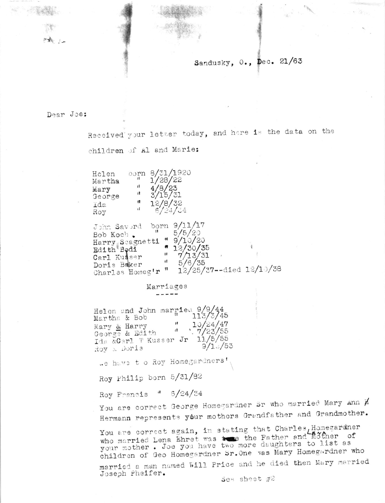## Sandusky, O., Dec. 21/63

#### Dear Joe:

Holen

Martha

George

Mary

Ida

Received your letter today, and here is the data on the children of Al and Marie:

 $6/24/24$ Roy John Savord born 9/11/17  $\frac{11}{5/5/20}$ Bob Koch. Harry Scagnetti " 9/10/20  $\begin{array}{c}\n 12/30/35 \\
17/13/31 \\
5/6/35\n \end{array}$ Edith Bodi Carl Kusser Doris Baker Charles Homeg'r " 12/25/37--died 12/10/38

#### Marriages

oorn 8/31/1920

 $\mathbf{11}$ 

 $\pmb{\mathfrak{m}}$ 

 $\mathbf{H}$ 

 $12 - 22$ 

 $\frac{1}{28}$ /22<br>4/8/23

 $3/15/31$ 

 $12/8/32$ 

Helen and John married 9/9/44<br>Martha & Bob 113/3/45 Martha & Bob  $10/24/47$  $\mathbf{H}$ Mary & Harry George & Edith  $\frac{1}{7}/23/55$ Ida &Carl T Kusser Jr 11/5/55  $9/1.7/53$ Roy & Doris

.e have to Roy Homegardners'

Roy Philip born 5/31/82

Roy Francis " 6/24/34

You are correct George Homegardner Br who married Mary Ann  $\cancel{p}$ Hermann represents your mothers Grandfather and Grandmother.

You are correct again, in stating that Charles, Homegardner who married Lena Ehret was to the Father and mother of your mother. Joe you have two more daughters to list as children of Geo Homegardner Sr. One was Mary Homegardner who married a man named Will Price and he died then Mary married Joseph Pheifer.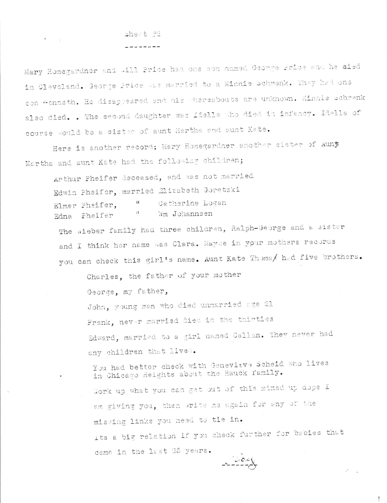### sheat #2

 $\overline{\P}$  , where  $\overline{\P}$ 

Mary Homegardner and .111 Price had one son named George Price and he aied in Cleveland. George Price was married to a Minnie Schrenk. They had one son "enneth. He disappeared and his whereabouts are unknown. Minnie schrenk also died. . The second daughter was idella who died in infancy. Idella of course would be a sister of aunt Martha and aunt Kate.

Here is another record: Mary Homegardner another sister of Auny Martha and aunt Kate had the following children;

Arthur Pheifer deceased, and was not married Edwin Pheifer, married Elizabeth Goretzki Catherine Logan  $\mathcal{U}% _{t}\left( t\right) \equiv\mathcal{U}_{t}\left( t\right) ,$ Elmer Pheifer.  $\mathbf{1}$  if Wm Johannsen Edna Pheifer

The wieber family had three children, Ralph-George and a sister and I think her name was Clara. Mayoe in your mothers records you can check this girl's name. Aunt Kate Thomas had five brothers.

Charles. the father of your mother

George, my father,

John, young man who died unmarried age 21 Frank, never married died in the thirties Edward, married to a girl named Callan. They never had any children that lived.

You had better check with Genevieve Scheid who lives in Chicago Heights about the Hauck family. Tork up what you can get out of this mixed up dope I am giving you, then write me again for any of the missing links you need to tie in.

its a big relation if you check further for babies that came in the last 25 years.